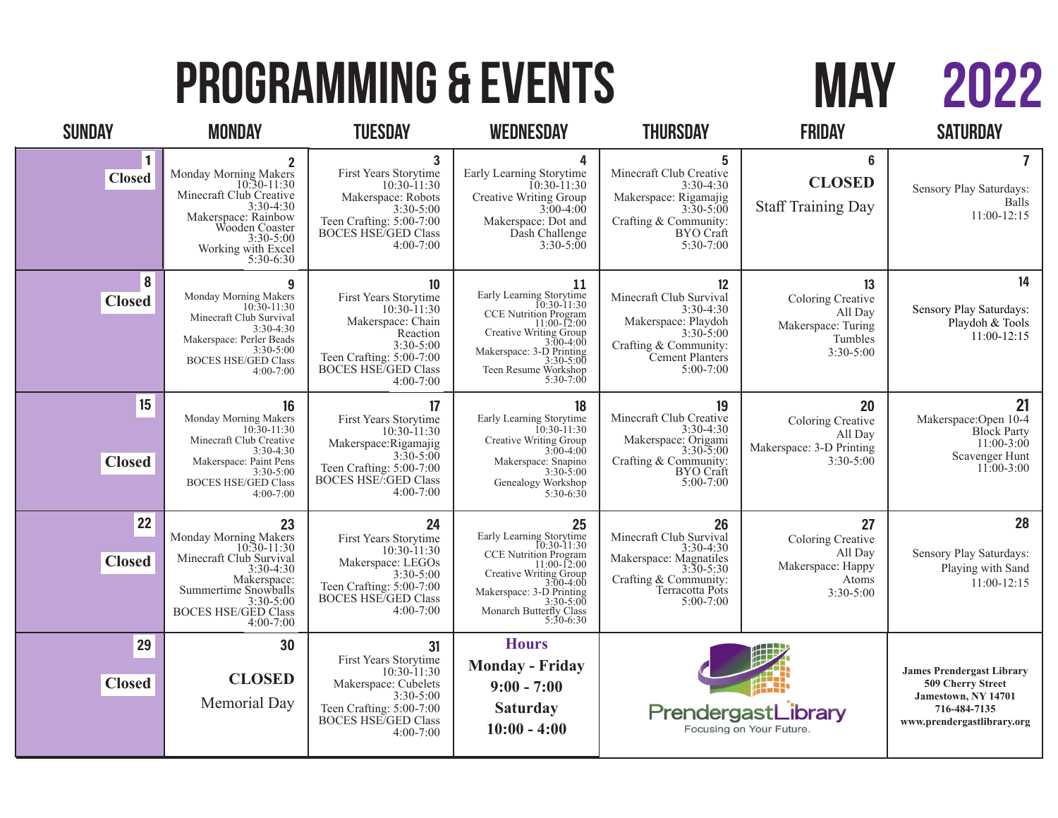# 2022 MAY

# PROGRAMMING & EVENTS

| <b>SUNDAY</b>             | <b>MONDAY</b>                                                                                                                                                                               | <b>TUESDAY</b>                                                                                                                                                             | <b>WEDNESDAY</b>                                                                                                                                                                                                 | <b>THURSDAY</b>                                                                                                                                   | <b>FRIDAY</b>                                                                      | <b>SATURDAY</b>                                                                                                            |
|---------------------------|---------------------------------------------------------------------------------------------------------------------------------------------------------------------------------------------|----------------------------------------------------------------------------------------------------------------------------------------------------------------------------|------------------------------------------------------------------------------------------------------------------------------------------------------------------------------------------------------------------|---------------------------------------------------------------------------------------------------------------------------------------------------|------------------------------------------------------------------------------------|----------------------------------------------------------------------------------------------------------------------------|
| <b>Closed</b>             | $\mathbf{2}$<br>Monday Morning Makers<br>10:30-11:30<br>Minecraft Club Creative<br>$3:30-4:30$<br>Makerspace: Rainbow<br>Wooden Coaster<br>$3:30-5:00$<br>Working with Excel<br>$5:30-6:30$ | $\mathbf{3}$<br>First Years Storytime<br>$10:30 - 11:30$<br>Makerspace: Robots<br>$3:30 - 5:00$<br>Teen Crafting: 5:00-7:00<br><b>BOCES HSE/GED Class</b><br>$4:00 - 7:00$ | 4<br>Early Learning Storytime<br>$10:30-11:30$<br>Creative Writing Group<br>$3:00-4:00$<br>Makerspace: Dot and<br>Dash Challenge<br>$3:30-5:00$                                                                  | 5<br>Minecraft Club Creative<br>$3:30-4:30$<br>Makerspace: Rigamajig<br>$3:30 - 5:00$<br>Crafting & Community:<br><b>BYO</b> Craft<br>$5:30-7:00$ | $6\phantom{1}$<br><b>CLOSED</b><br><b>Staff Training Day</b>                       | $\overline{7}$<br>Sensory Play Saturdays:<br>Balls<br>$11:00-12:15$                                                        |
| $\bf{8}$<br><b>Closed</b> | 9<br>Monday Morning Makers<br>10:30-11:30<br>Minecraft Club Survival<br>$3:30-4:30$<br>Makerspace: Perler Beads<br>$3:30-5:00$<br><b>BOCES HSE/GED Class</b><br>$4:00 - 7:00$               | 10<br>First Years Storytime<br>$10:30 - 11:30$<br>Makerspace: Chain<br>Reaction<br>$3:30-5:00$<br>Teen Crafting: 5:00-7:00<br><b>BOCES HSE/GED Class</b><br>$4:00 - 7:00$  | 11<br>Early Learning Storytime<br>10:30-11:30<br>CCE Nutrition Program<br>$11:00-12:00$<br>Creative Writing Group<br>3:00-4:00<br>Makerspace: $3-D$ Printing<br>$3:30-5:00$<br>Teen Resume Workshop<br>5:30-7:00 | 12<br>Minecraft Club Survival<br>$3:30-4:30$<br>Makerspace: Playdoh<br>$3:30-5:00$<br>Crafting & Community:<br>Cement Planters<br>$5:00-7:00$     | 13<br>Coloring Creative<br>All Day<br>Makerspace: Turing<br>Tumbles<br>$3:30-5:00$ | 14<br>Sensory Play Saturdays:<br>Playdoh & Tools<br>11:00-12:15                                                            |
| 15<br><b>Closed</b>       | 16<br>Monday Morning Makers<br>10:30-11:30<br>Minecraft Club Creative<br>$3:30-4:30$<br>Makerspace: Paint Pens<br>3:30-5:00<br><b>BOCES HSE/GED Class</b><br>$4:00 - 7:00$                  | 17<br>First Years Storytime<br>10:30-11:30<br>Makerspace:Rigamajig<br>$3:30 - 5:00$<br>Teen Crafting: 5:00-7:00<br><b>BOCES HSE/:GED Class</b><br>$4:00 - 7:00$            | 18<br>Early Learning Storytime<br>$10:30 - 11:30$<br>Creative Writing Group<br>3:00-4:00<br>Makerspace: Snapino<br>$3:30 - 5:00$<br>Genealogy Workshop<br>$5:30-6:30$                                            | 19<br>Minecraft Club Creative<br>$3:30-4:30$<br>Makerspace: Origami<br>3:30-5:00<br>Crafting & Community:<br>BYO Craft<br>$5:00-7:00$             | 20<br>Coloring Creative<br>All Day<br>Makerspace: 3-D Printing<br>$3:30-5:00$      | 21<br>Makerspace: Open 10-4<br><b>Block Party</b><br>$11:00-3:00$<br>Scavenger Hunt<br>$11:00-3:00$                        |
| 22<br><b>Closed</b>       | 23<br>Monday Morning Makers<br>10:30-11:30<br>Minecraft Club Survival<br>3:30-4:30<br>Makerspace:<br>Summertime Snowballs<br>$3:30-5:00$<br><b>BOCES HSE/GED Class</b><br>$4:00-7:00$       | 24<br>First Years Storytime<br>10:30-11:30<br>Makerspace: LEGOs<br>$3:30-5:00$<br>Teen Crafting: 5:00-7:00<br><b>BOCES HSE/GED Class</b><br>$4:00 - 7:00$                  | 25<br>Early Learning Storytime<br>10:30-11:30<br>CCE Nutrition Program<br>11:00-12:00<br>Creative Writing Group<br>3:00-4:00<br>3:00-4:00<br>3:30-5:00<br>3:30-5:00<br>Monarch Butterfly Class<br>5:30-6:30      | 26<br>Minecraft Club Survival<br>3:30-4:30<br>Makerspace: Magnatiles<br>3:30-5:30<br>Crafting & Community:<br>Terracotta Pots<br>$5:00-7:00$      | 27<br>Coloring Creative<br>All Day<br>Makerspace: Happy<br>Atoms<br>$3:30-5:00$    | 28<br>Sensory Play Saturdays:<br>Playing with Sand<br>$11:00-12:15$                                                        |
| 29<br><b>Closed</b>       | 30<br><b>CLOSED</b><br>Memorial Day                                                                                                                                                         | 31<br>First Years Storytime<br>10:30-11:30<br>Makerspace: Cubelets<br>3:30-5:00<br>Teen Crafting: 5:00-7:00<br><b>BOCES HSE/GED Class</b><br>$4:00 - 7:00$                 | <b>Hours</b><br><b>Monday - Friday</b><br>$9:00 - 7:00$<br><b>Saturday</b><br>$10:00 - 4:00$                                                                                                                     | PrendergastLibrary<br>Focusing on Your Future.                                                                                                    |                                                                                    | <b>James Prendergast Library</b><br>509 Cherry Street<br>Jamestown, NY 14701<br>716-484-7135<br>www.prendergastlibrary.org |